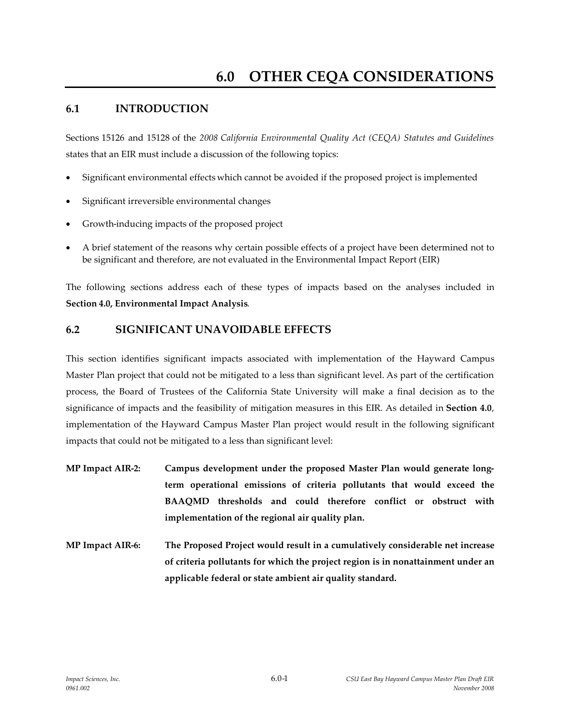### **6.1 INTRODUCTION**

Sections 15126 and 15128 of the *2008 California Environmental Quality Act (CEQA) Statutes and Guidelines* states that an EIR must include a discussion of the following topics:

- Significant environmental effects which cannot be avoided if the proposed project is implemented
- Significant irreversible environmental changes
- Growth-inducing impacts of the proposed project
- A brief statement of the reasons why certain possible effects of a project have been determined not to be significant and therefore, are not evaluated in the Environmental Impact Report (EIR)

The following sections address each of these types of impacts based on the analyses included in **Section 4.0, Environmental Impact Analysis**.

### **6.2 SIGNIFICANT UNAVOIDABLE EFFECTS**

This section identifies significant impacts associated with implementation of the Hayward Campus Master Plan project that could not be mitigated to a less than significant level. As part of the certification process, the Board of Trustees of the California State University will make a final decision as to the significance of impacts and the feasibility of mitigation measures in this EIR. As detailed in **Section 4.0**, implementation of the Hayward Campus Master Plan project would result in the following significant impacts that could not be mitigated to a less than significant level:

- **MP Impact AIR-2: Campus development under the proposed Master Plan would generate longterm operational emissions of criteria pollutants that would exceed the BAAQMD thresholds and could therefore conflict or obstruct with implementation of the regional air quality plan.**
- **MP Impact AIR-6: The Proposed Project would result in a cumulatively considerable net increase of criteria pollutants for which the project region is in nonattainment under an applicable federal or state ambient air quality standard.**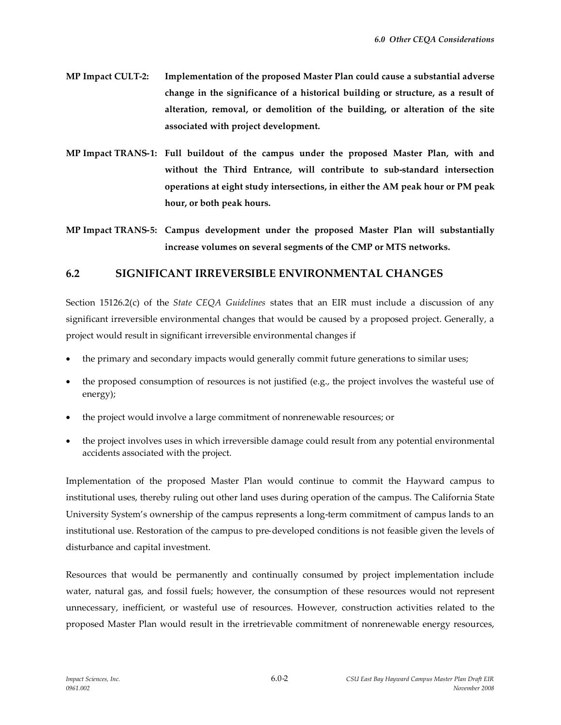- **MP Impact CULT-2: Implementation of the proposed Master Plan could cause a substantial adverse change in the significance of a historical building or structure, as a result of alteration, removal, or demolition of the building, or alteration of the site associated with project development.**
- **MP Impact TRANS-1: Full buildout of the campus under the proposed Master Plan, with and without the Third Entrance, will contribute to sub-standard intersection operations at eight study intersections, in either the AM peak hour or PM peak hour, or both peak hours.**
- **MP Impact TRANS-5: Campus development under the proposed Master Plan will substantially increase volumes on several segments of the CMP or MTS networks.**

#### **6.2 SIGNIFICANT IRREVERSIBLE ENVIRONMENTAL CHANGES**

Section 15126.2(c) of the *State CEQA Guidelines* states that an EIR must include a discussion of any significant irreversible environmental changes that would be caused by a proposed project. Generally, a project would result in significant irreversible environmental changes if

- the primary and secondary impacts would generally commit future generations to similar uses;
- the proposed consumption of resources is not justified (e.g., the project involves the wasteful use of energy);
- the project would involve a large commitment of nonrenewable resources; or
- the project involves uses in which irreversible damage could result from any potential environmental accidents associated with the project.

Implementation of the proposed Master Plan would continue to commit the Hayward campus to institutional uses, thereby ruling out other land uses during operation of the campus. The California State University System's ownership of the campus represents a long-term commitment of campus lands to an institutional use. Restoration of the campus to pre-developed conditions is not feasible given the levels of disturbance and capital investment.

Resources that would be permanently and continually consumed by project implementation include water, natural gas, and fossil fuels; however, the consumption of these resources would not represent unnecessary, inefficient, or wasteful use of resources. However, construction activities related to the proposed Master Plan would result in the irretrievable commitment of nonrenewable energy resources,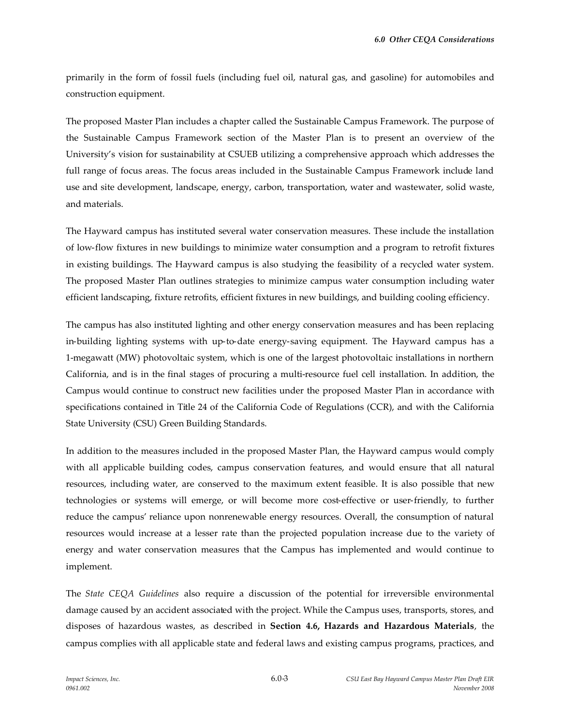primarily in the form of fossil fuels (including fuel oil, natural gas, and gasoline) for automobiles and construction equipment.

The proposed Master Plan includes a chapter called the Sustainable Campus Framework. The purpose of the Sustainable Campus Framework section of the Master Plan is to present an overview of the University's vision for sustainability at CSUEB utilizing a comprehensive approach which addresses the full range of focus areas. The focus areas included in the Sustainable Campus Framework include land use and site development, landscape, energy, carbon, transportation, water and wastewater, solid waste, and materials.

The Hayward campus has instituted several water conservation measures. These include the installation of low-flow fixtures in new buildings to minimize water consumption and a program to retrofit fixtures in existing buildings. The Hayward campus is also studying the feasibility of a recycled water system. The proposed Master Plan outlines strategies to minimize campus water consumption including water efficient landscaping, fixture retrofits, efficient fixtures in new buildings, and building cooling efficiency.

The campus has also instituted lighting and other energy conservation measures and has been replacing in-building lighting systems with up-to-date energy-saving equipment. The Hayward campus has a 1-megawatt (MW) photovoltaic system, which is one of the largest photovoltaic installations in northern California, and is in the final stages of procuring a multi-resource fuel cell installation. In addition, the Campus would continue to construct new facilities under the proposed Master Plan in accordance with specifications contained in Title 24 of the California Code of Regulations (CCR), and with the California State University (CSU) Green Building Standards.

In addition to the measures included in the proposed Master Plan, the Hayward campus would comply with all applicable building codes, campus conservation features, and would ensure that all natural resources, including water, are conserved to the maximum extent feasible. It is also possible that new technologies or systems will emerge, or will become more cost-effective or user-friendly, to further reduce the campus' reliance upon nonrenewable energy resources. Overall, the consumption of natural resources would increase at a lesser rate than the projected population increase due to the variety of energy and water conservation measures that the Campus has implemented and would continue to implement.

The *State CEQA Guidelines* also require a discussion of the potential for irreversible environmental damage caused by an accident associated with the project. While the Campus uses, transports, stores, and disposes of hazardous wastes, as described in **Section 4.6, Hazards and Hazardous Materials**, the campus complies with all applicable state and federal laws and existing campus programs, practices, and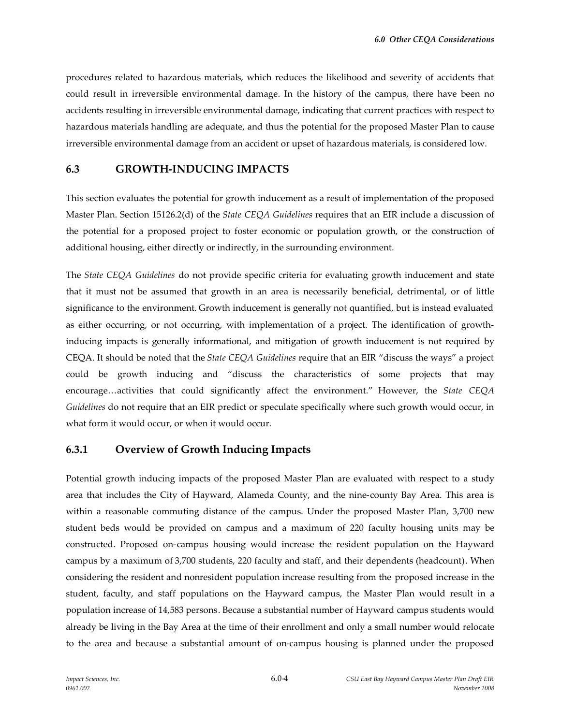procedures related to hazardous materials, which reduces the likelihood and severity of accidents that could result in irreversible environmental damage. In the history of the campus, there have been no accidents resulting in irreversible environmental damage, indicating that current practices with respect to hazardous materials handling are adequate, and thus the potential for the proposed Master Plan to cause irreversible environmental damage from an accident or upset of hazardous materials, is considered low.

### **6.3 GROWTH-INDUCING IMPACTS**

This section evaluates the potential for growth inducement as a result of implementation of the proposed Master Plan. Section 15126.2(d) of the *State CEQA Guidelines* requires that an EIR include a discussion of the potential for a proposed project to foster economic or population growth, or the construction of additional housing, either directly or indirectly, in the surrounding environment.

The *State CEQA Guidelines* do not provide specific criteria for evaluating growth inducement and state that it must not be assumed that growth in an area is necessarily beneficial, detrimental, or of little significance to the environment. Growth inducement is generally not quantified, but is instead evaluated as either occurring, or not occurring, with implementation of a project. The identification of growthinducing impacts is generally informational, and mitigation of growth inducement is not required by CEQA. It should be noted that the *State CEQA Guidelines* require that an EIR "discuss the ways" a project could be growth inducing and "discuss the characteristics of some projects that may encourage…activities that could significantly affect the environment." However, the *State CEQA Guidelines* do not require that an EIR predict or speculate specifically where such growth would occur, in what form it would occur, or when it would occur.

# **6.3.1 Overview of Growth Inducing Impacts**

Potential growth inducing impacts of the proposed Master Plan are evaluated with respect to a study area that includes the City of Hayward, Alameda County, and the nine-county Bay Area. This area is within a reasonable commuting distance of the campus. Under the proposed Master Plan, 3,700 new student beds would be provided on campus and a maximum of 220 faculty housing units may be constructed. Proposed on-campus housing would increase the resident population on the Hayward campus by a maximum of 3,700 students, 220 faculty and staff, and their dependents (headcount). When considering the resident and nonresident population increase resulting from the proposed increase in the student, faculty, and staff populations on the Hayward campus, the Master Plan would result in a population increase of 14,583 persons. Because a substantial number of Hayward campus students would already be living in the Bay Area at the time of their enrollment and only a small number would relocate to the area and because a substantial amount of on-campus housing is planned under the proposed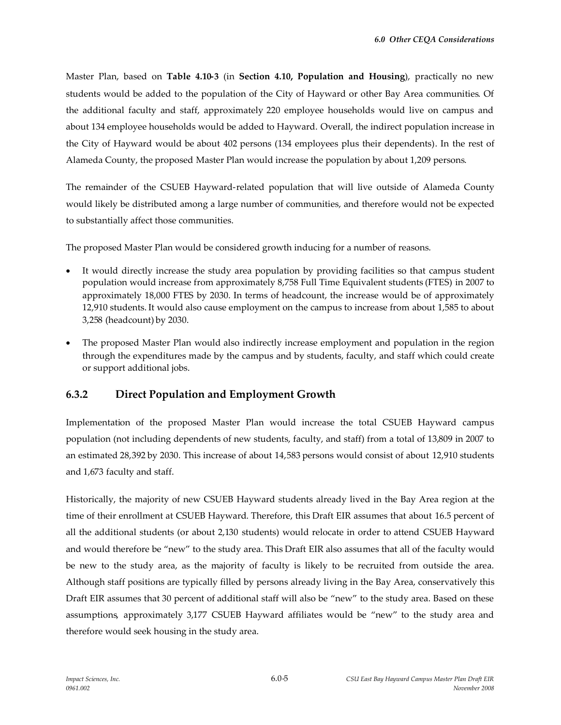Master Plan, based on **Table 4.10-3** (in **Section 4.10, Population and Housing**), practically no new students would be added to the population of the City of Hayward or other Bay Area communities. Of the additional faculty and staff, approximately 220 employee households would live on campus and about 134 employee households would be added to Hayward. Overall, the indirect population increase in the City of Hayward would be about 402 persons (134 employees plus their dependents). In the rest of Alameda County, the proposed Master Plan would increase the population by about 1,209 persons.

The remainder of the CSUEB Hayward-related population that will live outside of Alameda County would likely be distributed among a large number of communities, and therefore would not be expected to substantially affect those communities.

The proposed Master Plan would be considered growth inducing for a number of reasons.

- It would directly increase the study area population by providing facilities so that campus student population would increase from approximately 8,758 Full Time Equivalent students (FTES) in 2007 to approximately 18,000 FTES by 2030. In terms of headcount, the increase would be of approximately 12,910 students. It would also cause employment on the campus to increase from about 1,585 to about 3,258 (headcount) by 2030.
- The proposed Master Plan would also indirectly increase employment and population in the region through the expenditures made by the campus and by students, faculty, and staff which could create or support additional jobs.

# **6.3.2 Direct Population and Employment Growth**

Implementation of the proposed Master Plan would increase the total CSUEB Hayward campus population (not including dependents of new students, faculty, and staff) from a total of 13,809 in 2007 to an estimated 28,392 by 2030. This increase of about 14,583 persons would consist of about 12,910 students and 1,673 faculty and staff.

Historically, the majority of new CSUEB Hayward students already lived in the Bay Area region at the time of their enrollment at CSUEB Hayward. Therefore, this Draft EIR assumes that about 16.5 percent of all the additional students (or about 2,130 students) would relocate in order to attend CSUEB Hayward and would therefore be "new" to the study area. This Draft EIR also assumes that all of the faculty would be new to the study area, as the majority of faculty is likely to be recruited from outside the area. Although staff positions are typically filled by persons already living in the Bay Area, conservatively this Draft EIR assumes that 30 percent of additional staff will also be "new" to the study area. Based on these assumptions, approximately 3,177 CSUEB Hayward affiliates would be "new" to the study area and therefore would seek housing in the study area.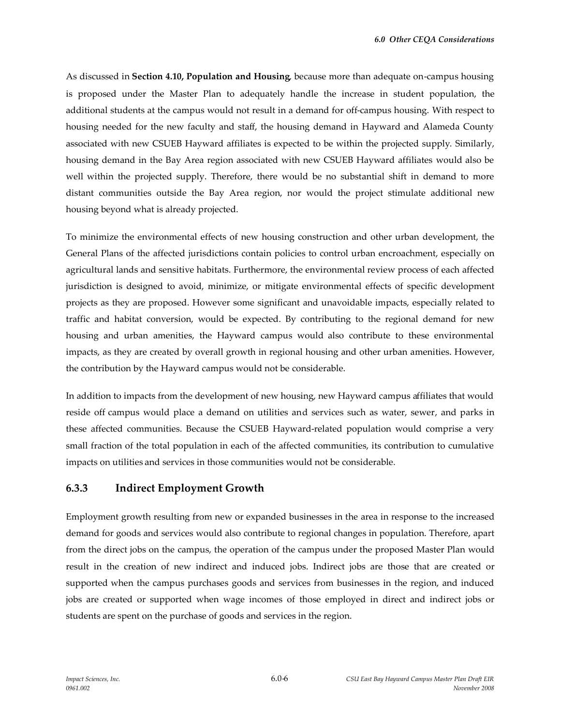As discussed in **Section 4.10, Population and Housing**, because more than adequate on-campus housing is proposed under the Master Plan to adequately handle the increase in student population, the additional students at the campus would not result in a demand for off-campus housing. With respect to housing needed for the new faculty and staff, the housing demand in Hayward and Alameda County associated with new CSUEB Hayward affiliates is expected to be within the projected supply. Similarly, housing demand in the Bay Area region associated with new CSUEB Hayward affiliates would also be well within the projected supply. Therefore, there would be no substantial shift in demand to more distant communities outside the Bay Area region, nor would the project stimulate additional new housing beyond what is already projected.

To minimize the environmental effects of new housing construction and other urban development, the General Plans of the affected jurisdictions contain policies to control urban encroachment, especially on agricultural lands and sensitive habitats. Furthermore, the environmental review process of each affected jurisdiction is designed to avoid, minimize, or mitigate environmental effects of specific development projects as they are proposed. However some significant and unavoidable impacts, especially related to traffic and habitat conversion, would be expected. By contributing to the regional demand for new housing and urban amenities, the Hayward campus would also contribute to these environmental impacts, as they are created by overall growth in regional housing and other urban amenities. However, the contribution by the Hayward campus would not be considerable.

In addition to impacts from the development of new housing, new Hayward campus affiliates that would reside off campus would place a demand on utilities and services such as water, sewer, and parks in these affected communities. Because the CSUEB Hayward-related population would comprise a very small fraction of the total population in each of the affected communities, its contribution to cumulative impacts on utilities and services in those communities would not be considerable.

### **6.3.3 Indirect Employment Growth**

Employment growth resulting from new or expanded businesses in the area in response to the increased demand for goods and services would also contribute to regional changes in population. Therefore, apart from the direct jobs on the campus, the operation of the campus under the proposed Master Plan would result in the creation of new indirect and induced jobs. Indirect jobs are those that are created or supported when the campus purchases goods and services from businesses in the region, and induced jobs are created or supported when wage incomes of those employed in direct and indirect jobs or students are spent on the purchase of goods and services in the region.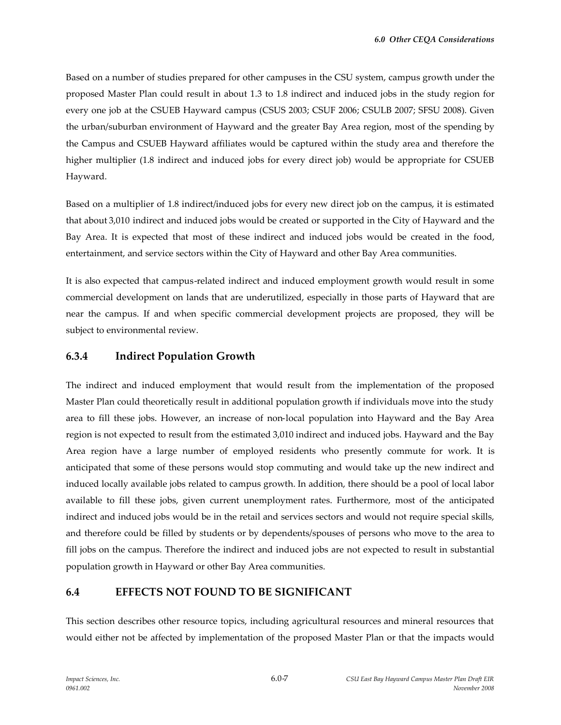Based on a number of studies prepared for other campuses in the CSU system, campus growth under the proposed Master Plan could result in about 1.3 to 1.8 indirect and induced jobs in the study region for every one job at the CSUEB Hayward campus (CSUS 2003; CSUF 2006; CSULB 2007; SFSU 2008). Given the urban/suburban environment of Hayward and the greater Bay Area region, most of the spending by the Campus and CSUEB Hayward affiliates would be captured within the study area and therefore the higher multiplier (1.8 indirect and induced jobs for every direct job) would be appropriate for CSUEB Hayward.

Based on a multiplier of 1.8 indirect/induced jobs for every new direct job on the campus, it is estimated that about 3,010 indirect and induced jobs would be created or supported in the City of Hayward and the Bay Area. It is expected that most of these indirect and induced jobs would be created in the food, entertainment, and service sectors within the City of Hayward and other Bay Area communities.

It is also expected that campus-related indirect and induced employment growth would result in some commercial development on lands that are underutilized, especially in those parts of Hayward that are near the campus. If and when specific commercial development projects are proposed, they will be subject to environmental review.

### **6.3.4 Indirect Population Growth**

The indirect and induced employment that would result from the implementation of the proposed Master Plan could theoretically result in additional population growth if individuals move into the study area to fill these jobs. However, an increase of non-local population into Hayward and the Bay Area region is not expected to result from the estimated 3,010 indirect and induced jobs. Hayward and the Bay Area region have a large number of employed residents who presently commute for work. It is anticipated that some of these persons would stop commuting and would take up the new indirect and induced locally available jobs related to campus growth. In addition, there should be a pool of local labor available to fill these jobs, given current unemployment rates. Furthermore, most of the anticipated indirect and induced jobs would be in the retail and services sectors and would not require special skills, and therefore could be filled by students or by dependents/spouses of persons who move to the area to fill jobs on the campus. Therefore the indirect and induced jobs are not expected to result in substantial population growth in Hayward or other Bay Area communities.

### **6.4 EFFECTS NOT FOUND TO BE SIGNIFICANT**

This section describes other resource topics, including agricultural resources and mineral resources that would either not be affected by implementation of the proposed Master Plan or that the impacts would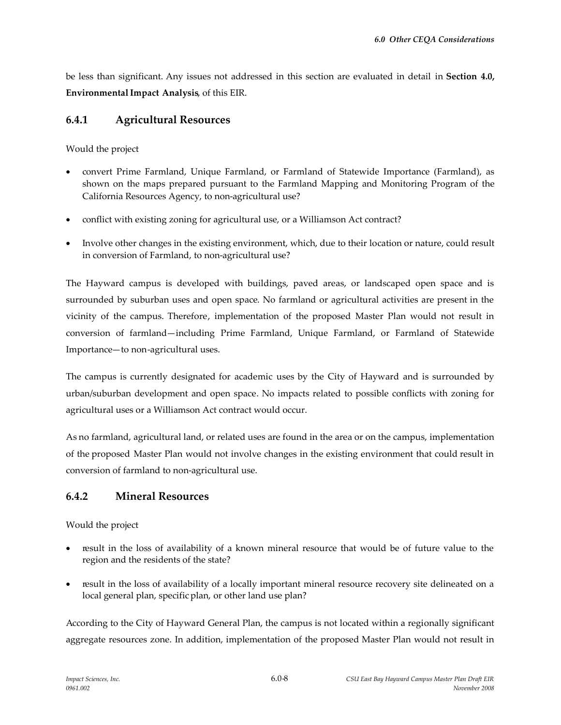be less than significant. Any issues not addressed in this section are evaluated in detail in **Section 4.0, EnvironmentalImpact Analysis**, of this EIR.

## **6.4.1 Agricultural Resources**

Would the project

- convert Prime Farmland, Unique Farmland, or Farmland of Statewide Importance (Farmland), as shown on the maps prepared pursuant to the Farmland Mapping and Monitoring Program of the California Resources Agency, to non-agricultural use?
- conflict with existing zoning for agricultural use, or a Williamson Act contract?
- Involve other changes in the existing environment, which, due to their location or nature, could result in conversion of Farmland, to non-agricultural use?

The Hayward campus is developed with buildings, paved areas, or landscaped open space and is surrounded by suburban uses and open space. No farmland or agricultural activities are present in the vicinity of the campus. Therefore, implementation of the proposed Master Plan would not result in conversion of farmland—including Prime Farmland, Unique Farmland, or Farmland of Statewide Importance—to non-agricultural uses.

The campus is currently designated for academic uses by the City of Hayward and is surrounded by urban/suburban development and open space. No impacts related to possible conflicts with zoning for agricultural uses or a Williamson Act contract would occur.

As no farmland, agricultural land, or related uses are found in the area or on the campus, implementation of the proposed Master Plan would not involve changes in the existing environment that could result in conversion of farmland to non-agricultural use.

# **6.4.2 Mineral Resources**

Would the project

- result in the loss of availability of a known mineral resource that would be of future value to the region and the residents of the state?
- result in the loss of availability of a locally important mineral resource recovery site delineated on a local general plan, specific plan, or other land use plan?

According to the City of Hayward General Plan, the campus is not located within a regionally significant aggregate resources zone. In addition, implementation of the proposed Master Plan would not result in